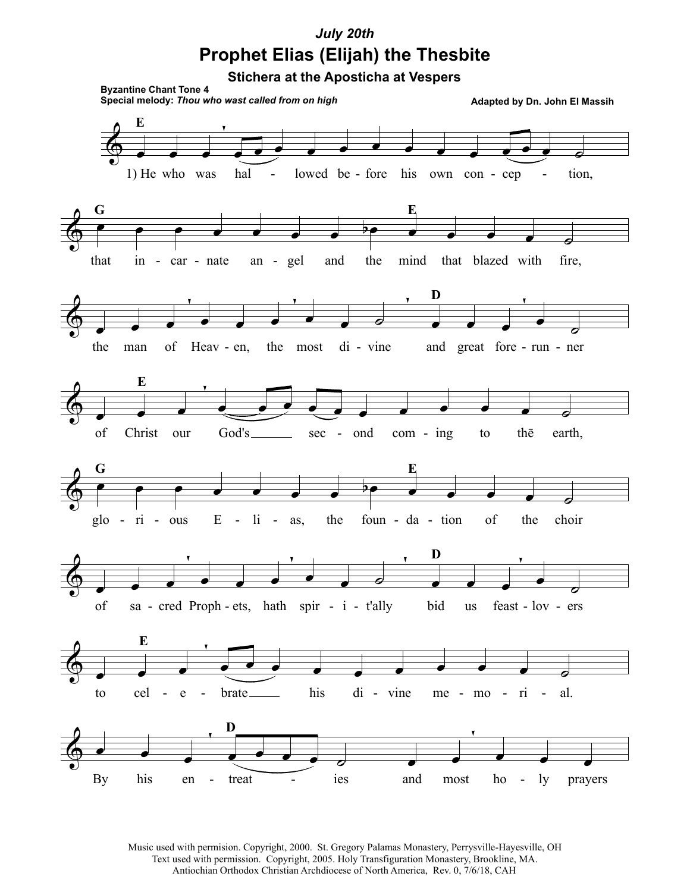## July 20th **Prophet Elias (Elijah) the Thesbite**

**Stichera at the Aposticha at Vespers** 



Music used with permision. Copyright, 2000. St. Gregory Palamas Monastery, Perrysville-Hayesville, OH Text used with permission. Copyright, 2005. Holy Transfiguration Monastery, Brookline, MA. Antiochian Orthodox Christian Archdiocese of North America, Rev. 0, 7/6/18, CAH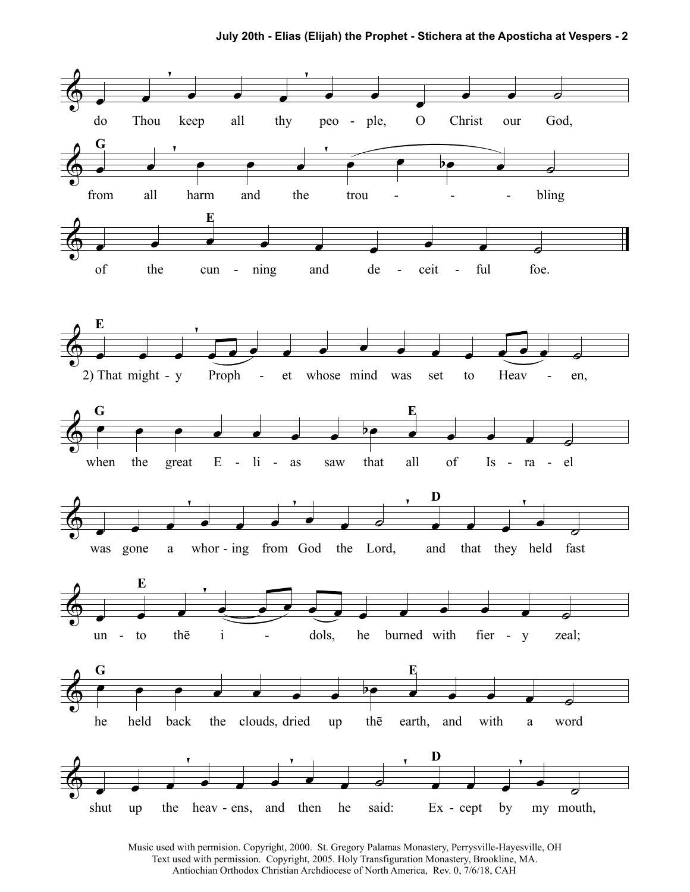July 20th - Elias (Elijah) the Prophet - Stichera at the Aposticha at Vespers - 2



Music used with permision. Copyright, 2000. St. Gregory Palamas Monastery, Perrysville-Hayesville, OH Text used with permission. Copyright, 2005. Holy Transfiguration Monastery, Brookline, MA. Antiochian Orthodox Christian Archdiocese of North America, Rev. 0, 7/6/18, CAH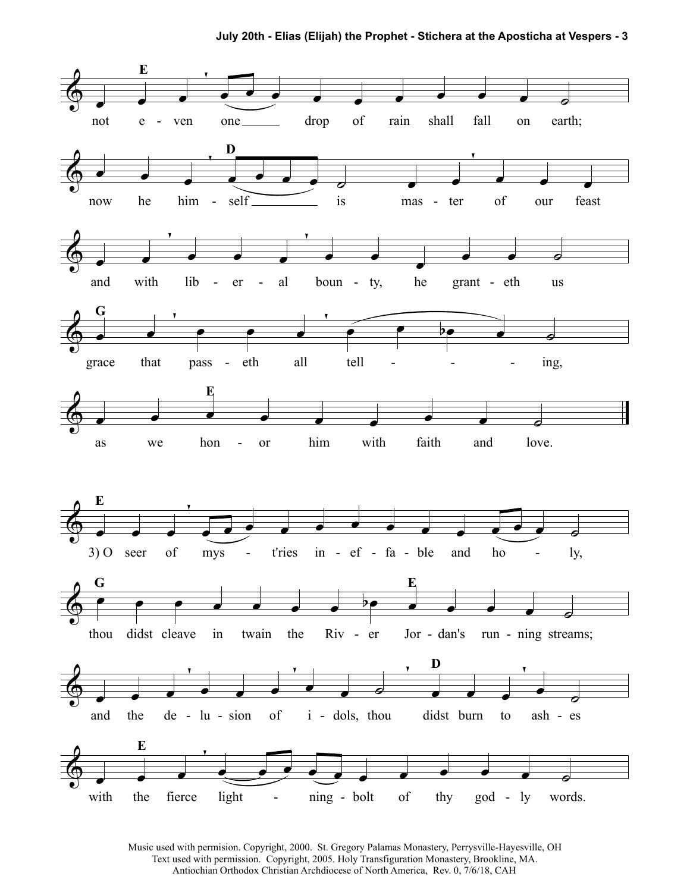

Music used with permision. Copyright, 2000. St. Gregory Palamas Monastery, Perrysville-Hayesville, OH Text used with permission. Copyright, 2005. Holy Transfiguration Monastery, Brookline, MA. Antiochian Orthodox Christian Archdiocese of North America, Rev. 0, 7/6/18, CAH